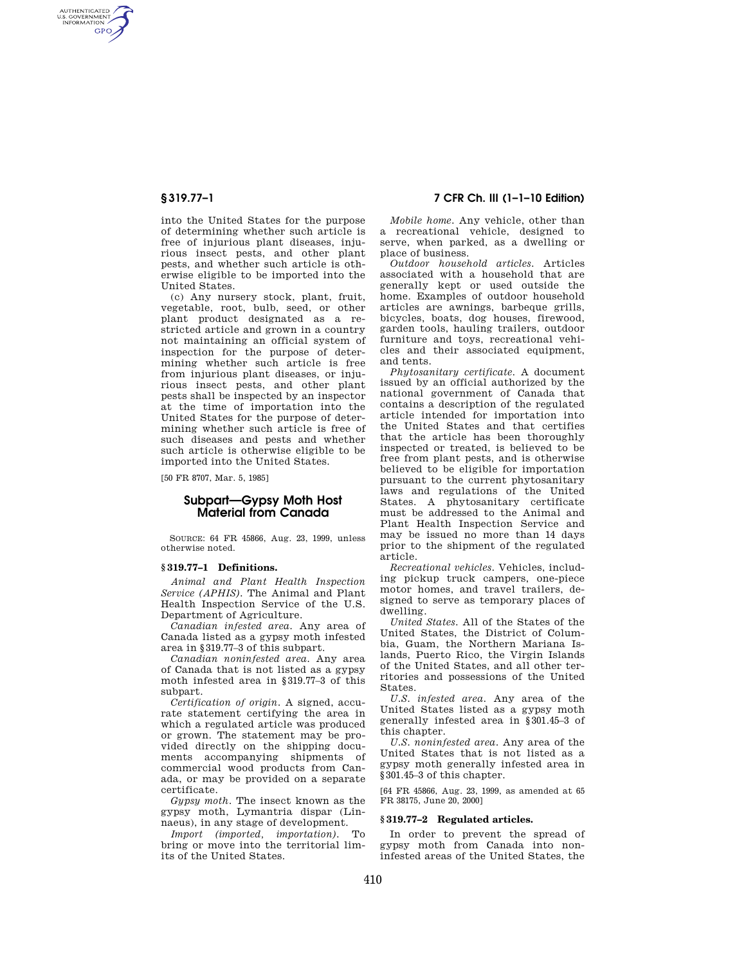AUTHENTICATED<br>U.S. GOVERNMENT<br>INFORMATION **GPO** 

> into the United States for the purpose of determining whether such article is free of injurious plant diseases, injurious insect pests, and other plant pests, and whether such article is otherwise eligible to be imported into the United States.

> (c) Any nursery stock, plant, fruit, vegetable, root, bulb, seed, or other plant product designated as a restricted article and grown in a country not maintaining an official system of inspection for the purpose of determining whether such article is free from injurious plant diseases, or injurious insect pests, and other plant pests shall be inspected by an inspector at the time of importation into the United States for the purpose of determining whether such article is free of such diseases and pests and whether such article is otherwise eligible to be imported into the United States.

[50 FR 8707, Mar. 5, 1985]

# **Subpart—Gypsy Moth Host Material from Canada**

SOURCE: 64 FR 45866, Aug. 23, 1999, unless otherwise noted.

#### **§ 319.77–1 Definitions.**

*Animal and Plant Health Inspection Service (APHIS).* The Animal and Plant Health Inspection Service of the U.S. Department of Agriculture.

*Canadian infested area.* Any area of Canada listed as a gypsy moth infested area in §319.77–3 of this subpart.

*Canadian noninfested area.* Any area of Canada that is not listed as a gypsy moth infested area in §319.77–3 of this subpart.

*Certification of origin.* A signed, accurate statement certifying the area in which a regulated article was produced or grown. The statement may be provided directly on the shipping documents accompanying shipments of commercial wood products from Canada, or may be provided on a separate certificate.

*Gypsy moth.* The insect known as the gypsy moth, Lymantria dispar (Linnaeus), in any stage of development.<br>*Import (imported importation*) To

*Import (imported, importation).* bring or move into the territorial limits of the United States.

## **§ 319.77–1 7 CFR Ch. III (1–1–10 Edition)**

*Mobile home.* Any vehicle, other than a recreational vehicle, designed to serve, when parked, as a dwelling or place of business.

*Outdoor household articles.* Articles associated with a household that are generally kept or used outside the home. Examples of outdoor household articles are awnings, barbeque grills, bicycles, boats, dog houses, firewood, garden tools, hauling trailers, outdoor furniture and toys, recreational vehicles and their associated equipment, and tents.

*Phytosanitary certificate.* A document issued by an official authorized by the national government of Canada that contains a description of the regulated article intended for importation into the United States and that certifies that the article has been thoroughly inspected or treated, is believed to be free from plant pests, and is otherwise believed to be eligible for importation pursuant to the current phytosanitary laws and regulations of the United States. A phytosanitary certificate must be addressed to the Animal and Plant Health Inspection Service and may be issued no more than 14 days prior to the shipment of the regulated article.

*Recreational vehicles.* Vehicles, including pickup truck campers, one-piece motor homes, and travel trailers, designed to serve as temporary places of dwelling.

*United States.* All of the States of the United States, the District of Columbia, Guam, the Northern Mariana Islands, Puerto Rico, the Virgin Islands of the United States, and all other territories and possessions of the United **States** 

*U.S. infested area.* Any area of the United States listed as a gypsy moth generally infested area in §301.45–3 of this chapter.

*U.S. noninfested area.* Any area of the United States that is not listed as a gypsy moth generally infested area in §301.45–3 of this chapter.

[64 FR 45866, Aug. 23, 1999, as amended at 65 FR 38175, June 20, 2000]

### **§ 319.77–2 Regulated articles.**

In order to prevent the spread of gypsy moth from Canada into noninfested areas of the United States, the